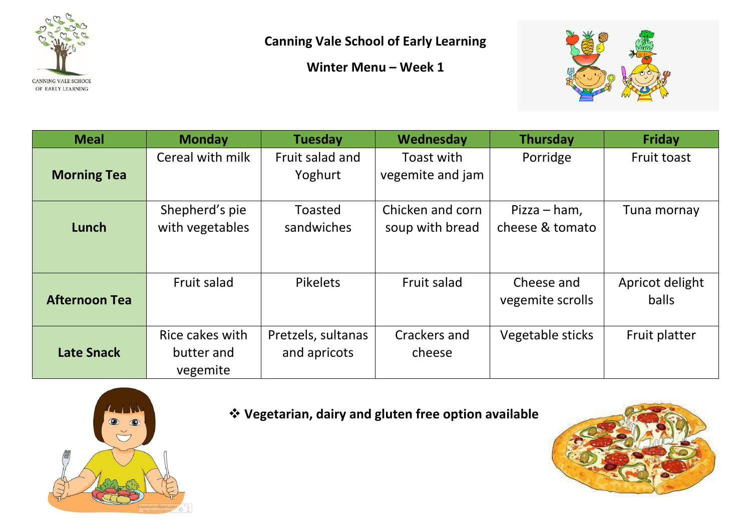

**Canning Vale School of Early Learning**

**Winter Menu – Week 1**



| <b>Meal</b>          | <b>Monday</b>                             | <b>Tuesday</b>                     | Wednesday                           | <b>Thursday</b>                 | <b>Friday</b>                   |
|----------------------|-------------------------------------------|------------------------------------|-------------------------------------|---------------------------------|---------------------------------|
| <b>Morning Tea</b>   | Cereal with milk                          | Fruit salad and<br>Yoghurt         | Toast with<br>vegemite and jam      | Porridge                        | Fruit toast                     |
| Lunch                | Shepherd's pie<br>with vegetables         | <b>Toasted</b><br>sandwiches       | Chicken and corn<br>soup with bread | Pizza – ham,<br>cheese & tomato | Tuna mornay                     |
| <b>Afternoon Tea</b> | Fruit salad                               | <b>Pikelets</b>                    | Fruit salad                         | Cheese and<br>vegemite scrolls  | Apricot delight<br><b>balls</b> |
| <b>Late Snack</b>    | Rice cakes with<br>butter and<br>vegemite | Pretzels, sultanas<br>and apricots | Crackers and<br>cheese              | Vegetable sticks                | Fruit platter                   |



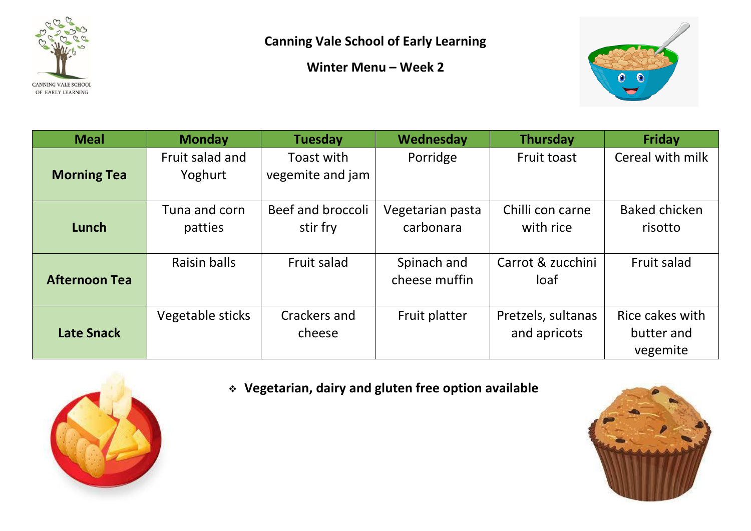

**Winter Menu – Week 2**



| <b>Meal</b>          | <b>Monday</b>              | <b>Tuesday</b>                 | Wednesday                     | <b>Thursday</b>                    | <b>Friday</b>                             |
|----------------------|----------------------------|--------------------------------|-------------------------------|------------------------------------|-------------------------------------------|
| <b>Morning Tea</b>   | Fruit salad and<br>Yoghurt | Toast with<br>vegemite and jam | Porridge                      | Fruit toast                        | Cereal with milk                          |
| Lunch                | Tuna and corn<br>patties   | Beef and broccoli<br>stir fry  | Vegetarian pasta<br>carbonara | Chilli con carne<br>with rice      | <b>Baked chicken</b><br>risotto           |
| <b>Afternoon Tea</b> | <b>Raisin balls</b>        | Fruit salad                    | Spinach and<br>cheese muffin  | Carrot & zucchini<br>loaf          | Fruit salad                               |
| <b>Late Snack</b>    | Vegetable sticks           | Crackers and<br>cheese         | Fruit platter                 | Pretzels, sultanas<br>and apricots | Rice cakes with<br>butter and<br>vegemite |



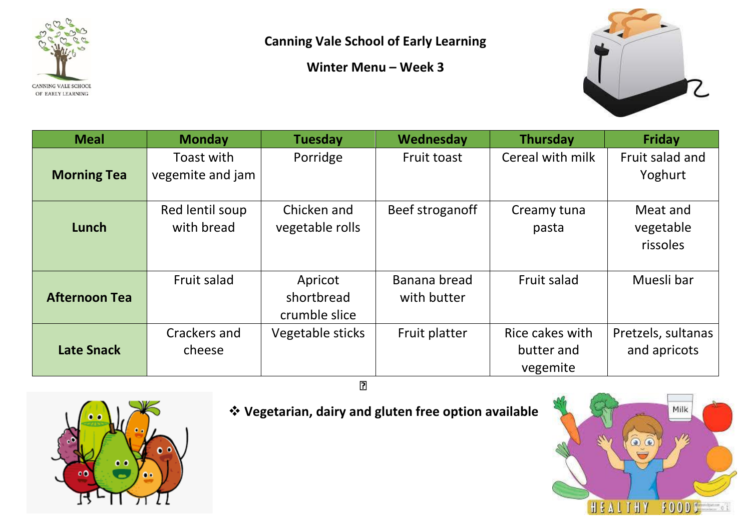

**Canning Vale School of Early Learning**

**Winter Menu – Week 3**



| <b>Meal</b>          | <b>Monday</b>                  | <b>Tuesday</b>                         | Wednesday                   | <b>Thursday</b>                           | <b>Friday</b>                      |
|----------------------|--------------------------------|----------------------------------------|-----------------------------|-------------------------------------------|------------------------------------|
| <b>Morning Tea</b>   | Toast with<br>vegemite and jam | Porridge                               | Fruit toast                 | Cereal with milk                          | Fruit salad and<br>Yoghurt         |
| Lunch                | Red lentil soup<br>with bread  | Chicken and<br>vegetable rolls         | Beef stroganoff             | Creamy tuna<br>pasta                      | Meat and<br>vegetable<br>rissoles  |
| <b>Afternoon Tea</b> | Fruit salad                    | Apricot<br>shortbread<br>crumble slice | Banana bread<br>with butter | Fruit salad                               | Muesli bar                         |
| <b>Late Snack</b>    | Crackers and<br>cheese         | Vegetable sticks                       | Fruit platter               | Rice cakes with<br>butter and<br>vegemite | Pretzels, sultanas<br>and apricots |
| ?                    |                                |                                        |                             |                                           |                                    |